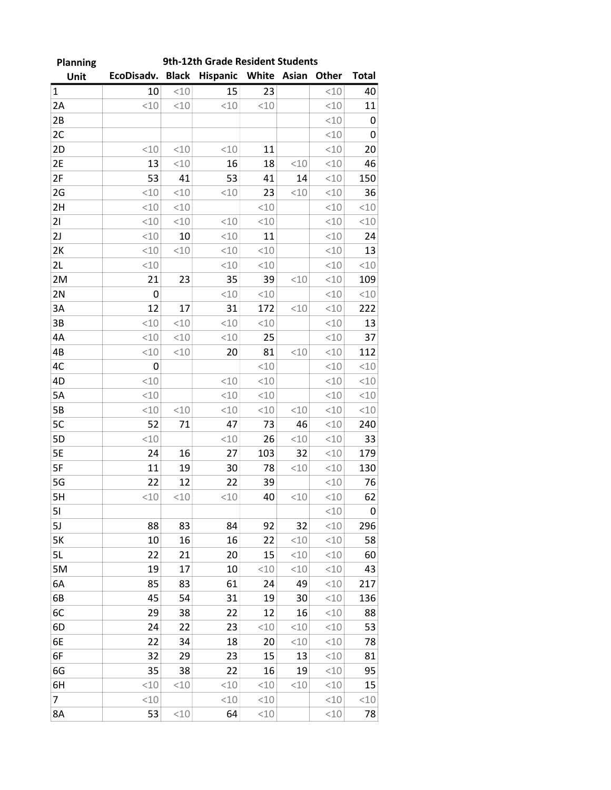| <b>Planning</b> |            |              | 9th-12th Grade Resident Students |       |           |              |              |
|-----------------|------------|--------------|----------------------------------|-------|-----------|--------------|--------------|
| Unit            | EcoDisadv. | <b>Black</b> | <b>Hispanic</b>                  | White | Asian     | <b>Other</b> | <b>Total</b> |
| $\mathbf{1}$    | 10         | < 10         | 15                               | 23    |           | <10          | 40           |
| 2A              | < 10       | < 10         | <10                              | < 10  |           | <10          | 11           |
| 2B              |            |              |                                  |       |           | <10          | 0            |
| 2C              |            |              |                                  |       |           | <10          | 0            |
| 2D              | < 10       | < 10         | <10                              | 11    |           | <10          | 20           |
| 2E              | 13         | < 10         | 16                               | 18    | < 10      | <10          | 46           |
| 2F              | 53         | 41           | 53                               | 41    | 14        | <10          | 150          |
| 2G              | < 10       | < 10         | <10                              | 23    | < 10      | <10          | 36           |
| 2H              | < 10       | < 10         |                                  | < 10  |           | <10          | <10          |
| 21              | < 10       | < 10         | <10                              | < 10  |           | <10          | <10          |
| 2J              | < 10       | 10           | <10                              | 11    |           | < 10         | 24           |
| 2K              | < 10       | < 10         | < 10                             | < 10  |           | <10          | 13           |
| 2L              | <10        |              | <10                              | < 10  |           | <10          | <10          |
| 2M              | 21         | 23           | 35                               | 39    | < 10      | <10          | 109          |
| 2N              | 0          |              | < 10                             | < 10  |           | <10          | <10          |
| 3A              | 12         | 17           | 31                               | 172   | <10       | <10          | 222          |
| 3B              | < 10       | < 10         | < 10                             | <10   |           | <10          | 13           |
| 4A              | < 10       | < 10         | <10                              | 25    |           | <10          | 37           |
| 4B              | < 10       | < 10         | 20                               | 81    | < 10      | <10          | 112          |
| 4C              | 0          |              |                                  | < 10  |           | <10          | <10          |
| 4D              | < 10       |              | <10                              | < 10  |           | <10          | <10          |
| 5A              | < 10       |              | < 10                             | < 10  |           | < 10         | <10          |
| 5B              | < 10       | < 10         | <10                              | < 10  | < 10      | <10          | <10          |
| 5C              | 52         | 71           | 47                               | 73    | 46        | <10          | 240          |
| 5D              | < 10       |              | <10                              | 26    | < 10      | <10          | 33           |
| 5E              | 24         | 16           | 27                               | 103   | 32        | <10          | 179          |
| 5F              | 11         | 19           | 30                               | 78    | < 10      | <10          | 130          |
| 5G              | 22         | 12           | 22                               | 39    |           | <10          | 76           |
| 5H              | <10        | <10          | <10                              | 40    | $<\!\!10$ | $<\!\!10$    | 62           |
| 51              |            |              |                                  |       |           | <10          | 0            |
| 5J              | 88         | 83           | 84                               | 92    | 32        | <10          | 296          |
| <b>5K</b>       | 10         | 16           | 16                               | 22    | <10       | <10          | 58           |
| 5L              | 22         | 21           | 20                               | 15    | <10       | <10          | 60           |
| 5M              | 19         | 17           | 10                               | <10   | < 10      | <10          | 43           |
| 6A              | 85         | 83           | 61                               | 24    | 49        | < 10         | 217          |
| 6B              | 45         | 54           | 31                               | 19    | 30        | <10          | 136          |
| 6C              | 29         | 38           | 22                               | 12    | 16        | <10          | 88           |
| 6D              | 24         | 22           | 23                               | <10   | <10       | <10          | 53           |
| 6E              | 22         | 34           | 18                               | 20    | <10       | <10          | 78           |
| 6F              | 32         | 29           | 23                               | 15    | 13        | <10          | 81           |
| 6G              | 35         | 38           | 22                               | 16    | 19        | <10          | 95           |
| 6H              | <10        | <10          | <10                              | <10   | <10       | <10          | 15           |
| 7               | < 10       |              | <10                              | <10   |           | <10          | $<\!\!10$    |
| 8A              | 53         | <10          | 64                               | <10   |           | <10          | 78           |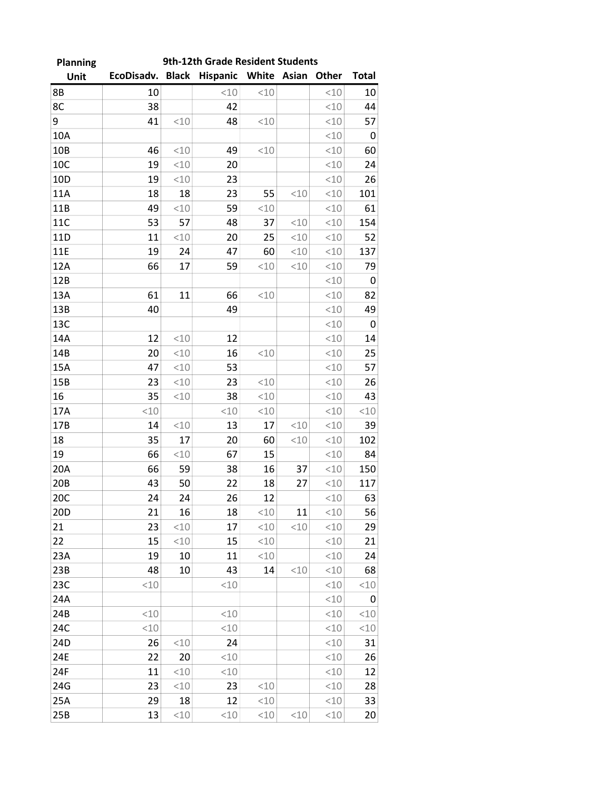| 9th-12th Grade Resident Students<br><b>Planning</b> |                                             |      |      |      |      |      |                 |
|-----------------------------------------------------|---------------------------------------------|------|------|------|------|------|-----------------|
| Unit                                                | EcoDisadv. Black Hispanic White Asian Other |      |      |      |      |      | <b>Total</b>    |
| 8B                                                  | 10                                          |      | <10  | < 10 |      | <10  | 10              |
| 8C                                                  | 38                                          |      | 42   |      |      | <10  | 44              |
| 9                                                   | 41                                          | <10  | 48   | <10  |      | <10  | 57              |
| 10A                                                 |                                             |      |      |      |      | <10  | 0               |
| 10B                                                 | 46                                          | < 10 | 49   | < 10 |      | <10  | 60              |
| 10C                                                 | 19                                          | < 10 | 20   |      |      | <10  | 24              |
| 10 <sub>D</sub>                                     | 19                                          | <10  | 23   |      |      | <10  | 26              |
| 11A                                                 | 18                                          | 18   | 23   | 55   | <10  | <10  | 101             |
| 11B                                                 | 49                                          | <10  | 59   | <10  |      | <10  | 61              |
| 11C                                                 | 53                                          | 57   | 48   | 37   | < 10 | <10  | 154             |
| 11D                                                 | 11                                          | <10  | 20   | 25   | < 10 | <10  | 52              |
| <b>11E</b>                                          | 19                                          | 24   | 47   | 60   | <10  | <10  | 137             |
| 12A                                                 | 66                                          | 17   | 59   | <10  | < 10 | <10  | 79              |
| 12B                                                 |                                             |      |      |      |      | <10  | 0               |
| 13A                                                 | 61                                          | 11   | 66   | <10  |      | <10  | 82              |
| 13B                                                 | 40                                          |      | 49   |      |      | <10  | 49              |
| 13C                                                 |                                             |      |      |      |      | <10  | 0               |
| 14A                                                 | 12                                          | < 10 | 12   |      |      | < 10 | 14              |
| 14B                                                 | 20                                          | <10  | 16   | <10  |      | < 10 | 25              |
| 15A                                                 | 47                                          | < 10 | 53   |      |      | <10  | 57              |
| 15B                                                 | 23                                          | <10  | 23   | < 10 |      | <10  | 26              |
| 16                                                  | 35                                          | <10  | 38   | <10  |      | <10  | 43              |
| 17A                                                 | < 10                                        |      | < 10 | <10  |      | <10  | <10             |
| 17B                                                 | 14                                          | < 10 | 13   | 17   | < 10 | <10  | 39              |
| 18                                                  | 35                                          | 17   | 20   | 60   | < 10 | <10  | 102             |
| 19                                                  | 66                                          | <10  | 67   | 15   |      | <10  | 84              |
| 20A                                                 | 66                                          | 59   | 38   | 16   | 37   | <10  | 150             |
| 20B                                                 | 43                                          | 50   | 22   | 18   | 27   | <10  | 117             |
| 20C                                                 | 24                                          | 24   | 26   | 12   |      | <10  | 63              |
| 20D                                                 | 21                                          | 16   | 18   | <10  | 11   | <10  | 56              |
| 21                                                  | 23                                          | 10   | 17   | <10  | <10  | <10  | 29              |
| 22                                                  | 15                                          | < 10 | 15   | <10  |      | <10  | 21              |
| 23A                                                 | 19                                          | 10   | 11   | <10  |      | <10  | 24              |
| 23B                                                 | 48                                          | 10   | 43   | 14   | <10  | <10  | 68              |
| 23C                                                 | <10                                         |      | <10  |      |      | <10  | <10             |
| 24A                                                 |                                             |      |      |      |      | <10  | 0               |
| 24B                                                 | < 10                                        |      | <10  |      |      | <10  | <10             |
| 24C                                                 | < 10                                        |      | <10  |      |      | <10  | <10             |
| 24D                                                 | 26                                          | <10  | 24   |      |      | <10  | 31              |
| 24E                                                 | 22                                          | 20   | <10  |      |      | <10  | 26              |
| 24F                                                 | 11                                          | < 10 | <10  |      |      | <10  | 12              |
| 24G                                                 | 23                                          | <10  | 23   | <10  |      | <10  | 28              |
| 25A                                                 | 29                                          | 18   | 12   | <10  |      | <10  | 33              |
| 25B                                                 | 13                                          | <10  | <10  | <10  | <10  | <10  | 20 <sub>2</sub> |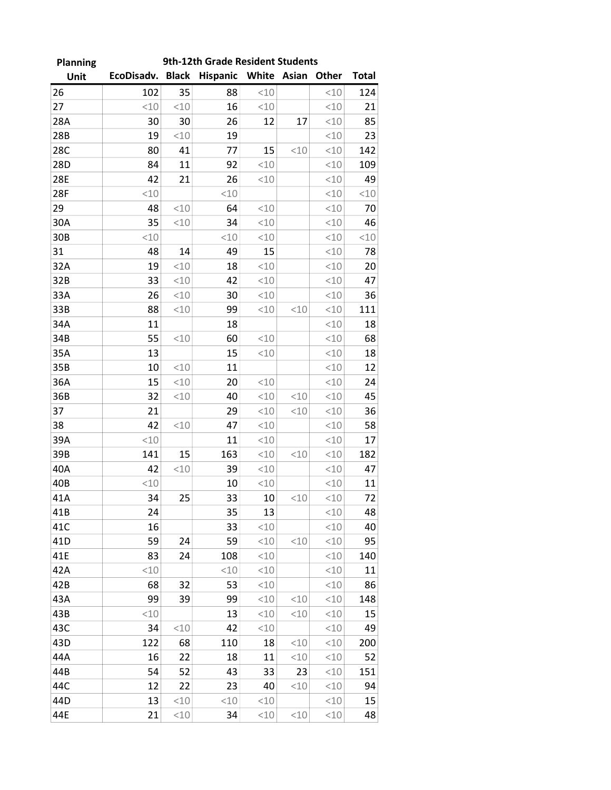| <b>Planning</b> | 9th-12th Grade Resident Students |              |          |       |           |       |                        |  |
|-----------------|----------------------------------|--------------|----------|-------|-----------|-------|------------------------|--|
| Unit            | EcoDisadv.                       | <b>Black</b> | Hispanic | White | Asian     | Other | <b>Total</b>           |  |
| 26              | 102                              | 35           | 88       | <10   |           | <10   | 124                    |  |
| 27              | <10                              | < 10         | 16       | < 10  |           | <10   | 21                     |  |
| 28A             | 30                               | 30           | 26       | 12    | 17        | <10   | 85                     |  |
| 28B             | 19                               | <10          | 19       |       |           | <10   | 23                     |  |
| 28C             | 80                               | 41           | 77       | 15    | < 10      | <10   | 142                    |  |
| 28D             | 84                               | 11           | 92       | <10   |           | <10   | 109                    |  |
| 28E             | 42                               | 21           | 26       | <10   |           | <10   | 49                     |  |
| 28F             | < 10                             |              | < 10     |       |           | <10   | $<\!\!\!\!\!\!\perp 0$ |  |
| 29              | 48                               | <10          | 64       | < 10  |           | <10   | 70                     |  |
| 30A             | 35                               | < 10         | 34       | <10   |           | <10   | 46                     |  |
| 30B             | <10                              |              | <10      | <10   |           | <10   | <10                    |  |
| 31              | 48                               | 14           | 49       | 15    |           | <10   | 78                     |  |
| 32A             | 19                               | < 10         | 18       | <10   |           | <10   | 20                     |  |
| 32B             | 33                               | <10          | 42       | <10   |           | <10   | 47                     |  |
| 33A             | 26                               | <10          | 30       | <10   |           | <10   | 36                     |  |
| 33B             | 88                               | <10          | 99       | <10   | <10       | <10   | 111                    |  |
| 34A             | 11                               |              | 18       |       |           | <10   | 18                     |  |
| 34B             | 55                               | <10          | 60       | <10   |           | <10   | 68                     |  |
| 35A             | 13                               |              | 15       | <10   |           | <10   | 18                     |  |
| 35B             | 10                               | <10          | 11       |       |           | <10   | 12                     |  |
| 36A             | 15                               | < 10         | 20       | < 10  |           | <10   | 24                     |  |
| 36B             | 32                               | < 10         | 40       | <10   | <10       | <10   | 45                     |  |
| 37              | 21                               |              | 29       | <10   | <10       | <10   | 36                     |  |
| 38              | 42                               | < 10         | 47       | <10   |           | <10   | 58                     |  |
| 39A             | <10                              |              | 11       | < 10  |           | <10   | 17                     |  |
| 39B             | 141                              | 15           | 163      | <10   | <10       | <10   | 182                    |  |
| 40A             | 42                               | <10          | 39       | <10   |           | <10   | 47                     |  |
| 40B             | < 10                             |              | 10       | <10   |           | <10   | 11                     |  |
| 41A             | 34                               | 25           | 33       | 10    | <10       | < 10  | 72                     |  |
| 41B             | 24                               |              | 35       | 13    |           | <10   | 48                     |  |
| 41C             | 16                               |              | 33       | <10   |           | <10   | 40                     |  |
| 41 <sub>D</sub> | 59                               | 24           | 59       | <10   | <10       | <10   | 95                     |  |
| 41E             | 83                               | 24           | 108      | <10   |           | <10   | 140                    |  |
| 42A             | < 10                             |              | <10      | < 10  |           | <10   | 11                     |  |
| 42B             | 68                               | 32           | 53       | <10   |           | <10   | 86                     |  |
| 43A             | 99                               | 39           | 99       | <10   | <10       | <10   | 148                    |  |
| 43B             | < 10                             |              | 13       | <10   | <10       | <10   | 15                     |  |
| 43C             | 34                               | < 10         | 42       | <10   |           | <10   | 49                     |  |
| 43D             | 122                              | 68           | 110      | 18    | <10       | <10   | 200                    |  |
| 44A             | 16                               | 22           | 18       | 11    | <10       | <10   | 52                     |  |
| 44B             | 54                               | 52           | 43       | 33    | 23        | <10   | 151                    |  |
| 44C             | 12                               | 22           | 23       | 40    | <10       | <10   | 94                     |  |
| 44D             | 13                               | <10          | <10      | <10   |           | <10   | 15                     |  |
| 44E             | 21                               | <10          | 34       | <10   | $<\!\!10$ | <10   | 48                     |  |